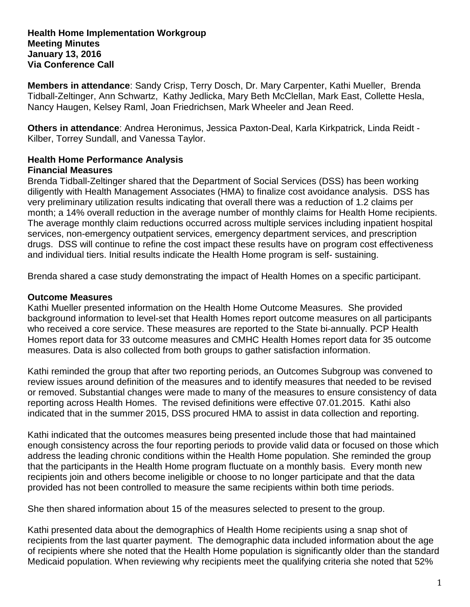#### **Health Home Implementation Workgroup Meeting Minutes January 13, 2016 Via Conference Call**

**Members in attendance**: Sandy Crisp, Terry Dosch, Dr. Mary Carpenter, Kathi Mueller, Brenda Tidball-Zeltinger, Ann Schwartz, Kathy Jedlicka, Mary Beth McClellan, Mark East, Collette Hesla, Nancy Haugen, Kelsey Raml, Joan Friedrichsen, Mark Wheeler and Jean Reed.

**Others in attendance**: Andrea Heronimus, Jessica Paxton-Deal, Karla Kirkpatrick, Linda Reidt - Kilber, Torrey Sundall, and Vanessa Taylor.

#### **Health Home Performance Analysis Financial Measures**

Brenda Tidball-Zeltinger shared that the Department of Social Services (DSS) has been working diligently with Health Management Associates (HMA) to finalize cost avoidance analysis. DSS has very preliminary utilization results indicating that overall there was a reduction of 1.2 claims per month; a 14% overall reduction in the average number of monthly claims for Health Home recipients. The average monthly claim reductions occurred across multiple services including inpatient hospital services, non-emergency outpatient services, emergency department services, and prescription drugs. DSS will continue to refine the cost impact these results have on program cost effectiveness and individual tiers. Initial results indicate the Health Home program is self- sustaining.

Brenda shared a case study demonstrating the impact of Health Homes on a specific participant.

### **Outcome Measures**

Kathi Mueller presented information on the Health Home Outcome Measures. She provided background information to level-set that Health Homes report outcome measures on all participants who received a core service. These measures are reported to the State bi-annually. PCP Health Homes report data for 33 outcome measures and CMHC Health Homes report data for 35 outcome measures. Data is also collected from both groups to gather satisfaction information.

Kathi reminded the group that after two reporting periods, an Outcomes Subgroup was convened to review issues around definition of the measures and to identify measures that needed to be revised or removed. Substantial changes were made to many of the measures to ensure consistency of data reporting across Health Homes. The revised definitions were effective 07.01.2015. Kathi also indicated that in the summer 2015, DSS procured HMA to assist in data collection and reporting.

Kathi indicated that the outcomes measures being presented include those that had maintained enough consistency across the four reporting periods to provide valid data or focused on those which address the leading chronic conditions within the Health Home population. She reminded the group that the participants in the Health Home program fluctuate on a monthly basis. Every month new recipients join and others become ineligible or choose to no longer participate and that the data provided has not been controlled to measure the same recipients within both time periods.

She then shared information about 15 of the measures selected to present to the group.

Kathi presented data about the demographics of Health Home recipients using a snap shot of recipients from the last quarter payment. The demographic data included information about the age of recipients where she noted that the Health Home population is significantly older than the standard Medicaid population. When reviewing why recipients meet the qualifying criteria she noted that 52%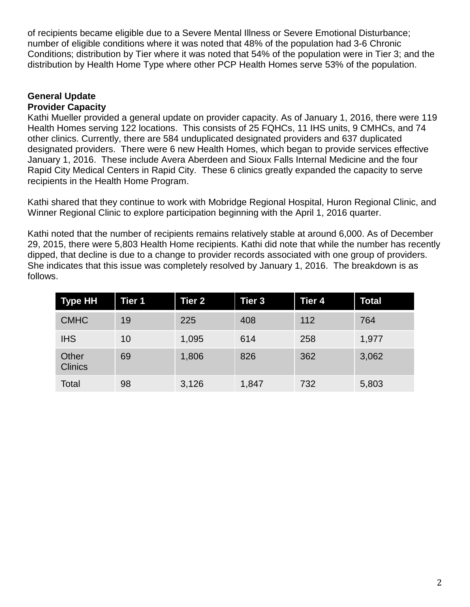of recipients became eligible due to a Severe Mental Illness or Severe Emotional Disturbance; number of eligible conditions where it was noted that 48% of the population had 3-6 Chronic Conditions; distribution by Tier where it was noted that 54% of the population were in Tier 3; and the distribution by Health Home Type where other PCP Health Homes serve 53% of the population.

#### **General Update Provider Capacity**

Kathi Mueller provided a general update on provider capacity. As of January 1, 2016, there were 119 Health Homes serving 122 locations. This consists of 25 FQHCs, 11 IHS units, 9 CMHCs, and 74 other clinics. Currently, there are 584 unduplicated designated providers and 637 duplicated designated providers. There were 6 new Health Homes, which began to provide services effective January 1, 2016. These include Avera Aberdeen and Sioux Falls Internal Medicine and the four Rapid City Medical Centers in Rapid City. These 6 clinics greatly expanded the capacity to serve recipients in the Health Home Program.

Kathi shared that they continue to work with Mobridge Regional Hospital, Huron Regional Clinic, and Winner Regional Clinic to explore participation beginning with the April 1, 2016 quarter.

Kathi noted that the number of recipients remains relatively stable at around 6,000. As of December 29, 2015, there were 5,803 Health Home recipients. Kathi did note that while the number has recently dipped, that decline is due to a change to provider records associated with one group of providers. She indicates that this issue was completely resolved by January 1, 2016. The breakdown is as follows.

| <b>Type HH</b>          | Tier 1 | <b>Tier 2</b> | Tier <sub>3</sub> | Tier 4 | <b>Total</b> |
|-------------------------|--------|---------------|-------------------|--------|--------------|
| <b>CMHC</b>             | 19     | 225           | 408               | 112    | 764          |
| <b>IHS</b>              | 10     | 1,095         | 614               | 258    | 1,977        |
| Other<br><b>Clinics</b> | 69     | 1,806         | 826               | 362    | 3,062        |
| Total                   | 98     | 3,126         | 1,847             | 732    | 5,803        |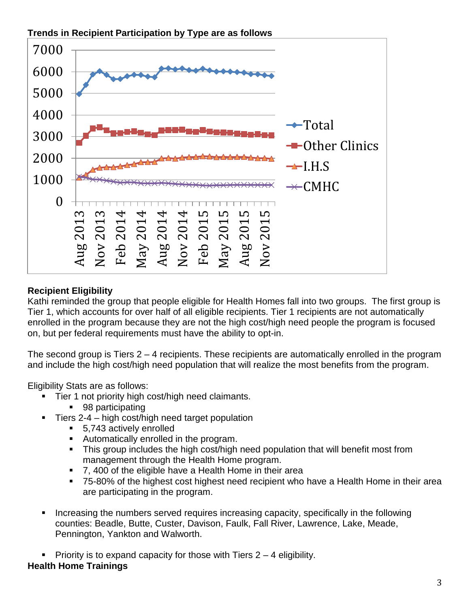



# **Recipient Eligibility**

Kathi reminded the group that people eligible for Health Homes fall into two groups. The first group is Tier 1, which accounts for over half of all eligible recipients. Tier 1 recipients are not automatically enrolled in the program because they are not the high cost/high need people the program is focused on, but per federal requirements must have the ability to opt-in.

The second group is Tiers 2 – 4 recipients. These recipients are automatically enrolled in the program and include the high cost/high need population that will realize the most benefits from the program.

Eligibility Stats are as follows:

- **Tier 1 not priority high cost/high need claimants.** 
	- 98 participating
- Tiers 2-4 high cost/high need target population
	- 5,743 actively enrolled
	- Automatically enrolled in the program.
	- This group includes the high cost/high need population that will benefit most from management through the Health Home program.
	- 7, 400 of the eligible have a Health Home in their area
	- 75-80% of the highest cost highest need recipient who have a Health Home in their area are participating in the program.
- Increasing the numbers served requires increasing capacity, specifically in the following counties: Beadle, Butte, Custer, Davison, Faulk, Fall River, Lawrence, Lake, Meade, Pennington, Yankton and Walworth.

Priority is to expand capacity for those with Tiers  $2 - 4$  eligibility. **Health Home Trainings**